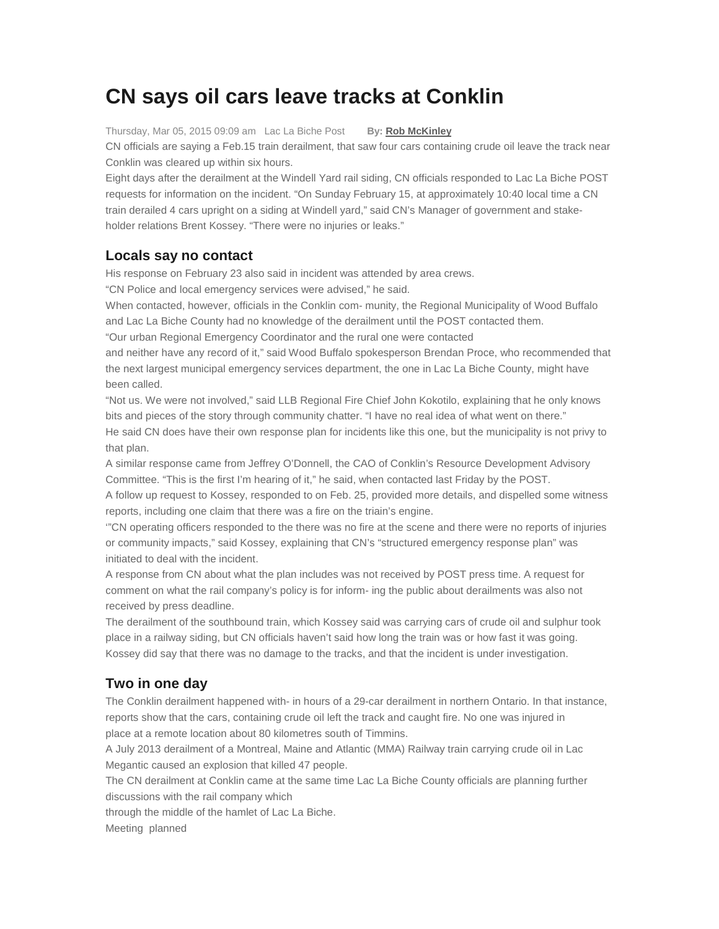## **CN says oil cars leave tracks at Conklin**

Thursday, Mar 05, 2015 09:09 am Lac La Biche Post **By: Rob McKinley**

CN officials are saying a Feb.15 train derailment, that saw four cars containing crude oil leave the track near Conklin was cleared up within six hours.

Eight days after the derailment at the Windell Yard rail siding, CN officials responded to Lac La Biche POST requests for information on the incident. "On Sunday February 15, at approximately 10:40 local time a CN train derailed 4 cars upright on a siding at Windell yard," said CN's Manager of government and stakeholder relations Brent Kossey. "There were no injuries or leaks."

## **Locals say no contact**

His response on February 23 also said in incident was attended by area crews.

"CN Police and local emergency services were advised," he said.

When contacted, however, officials in the Conklin com- munity, the Regional Municipality of Wood Buffalo and Lac La Biche County had no knowledge of the derailment until the POST contacted them.

"Our urban Regional Emergency Coordinator and the rural one were contacted

and neither have any record of it," said Wood Buffalo spokesperson Brendan Proce, who recommended that the next largest municipal emergency services department, the one in Lac La Biche County, might have been called.

"Not us. We were not involved," said LLB Regional Fire Chief John Kokotilo, explaining that he only knows bits and pieces of the story through community chatter. "I have no real idea of what went on there." He said CN does have their own response plan for incidents like this one, but the municipality is not privy to that plan.

A similar response came from Jeffrey O'Donnell, the CAO of Conklin's Resource Development Advisory Committee. "This is the first I'm hearing of it," he said, when contacted last Friday by the POST.

A follow up request to Kossey, responded to on Feb. 25, provided more details, and dispelled some witness reports, including one claim that there was a fire on the triain's engine.

'"CN operating officers responded to the there was no fire at the scene and there were no reports of injuries or community impacts," said Kossey, explaining that CN's "structured emergency response plan" was initiated to deal with the incident.

A response from CN about what the plan includes was not received by POST press time. A request for comment on what the rail company's policy is for inform- ing the public about derailments was also not received by press deadline.

The derailment of the southbound train, which Kossey said was carrying cars of crude oil and sulphur took place in a railway siding, but CN officials haven't said how long the train was or how fast it was going. Kossey did say that there was no damage to the tracks, and that the incident is under investigation.

## **Two in one day**

The Conklin derailment happened with- in hours of a 29-car derailment in northern Ontario. In that instance, reports show that the cars, containing crude oil left the track and caught fire. No one was injured in place at a remote location about 80 kilometres south of Timmins.

A July 2013 derailment of a Montreal, Maine and Atlantic (MMA) Railway train carrying crude oil in Lac Megantic caused an explosion that killed 47 people.

The CN derailment at Conklin came at the same time Lac La Biche County officials are planning further discussions with the rail company which

through the middle of the hamlet of Lac La Biche.

Meeting planned